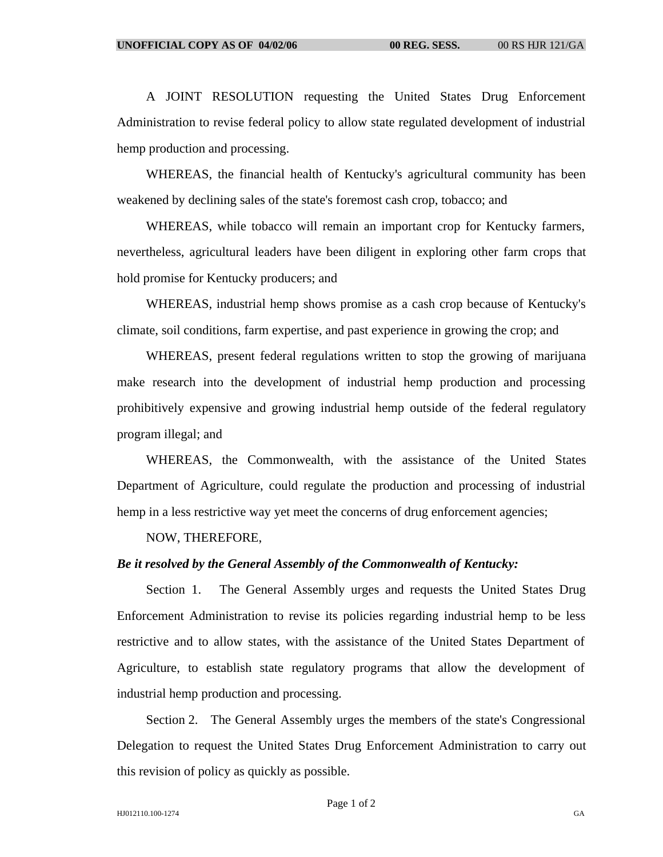A JOINT RESOLUTION requesting the United States Drug Enforcement Administration to revise federal policy to allow state regulated development of industrial hemp production and processing.

WHEREAS, the financial health of Kentucky's agricultural community has been weakened by declining sales of the state's foremost cash crop, tobacco; and

WHEREAS, while tobacco will remain an important crop for Kentucky farmers, nevertheless, agricultural leaders have been diligent in exploring other farm crops that hold promise for Kentucky producers; and

WHEREAS, industrial hemp shows promise as a cash crop because of Kentucky's climate, soil conditions, farm expertise, and past experience in growing the crop; and

WHEREAS, present federal regulations written to stop the growing of marijuana make research into the development of industrial hemp production and processing prohibitively expensive and growing industrial hemp outside of the federal regulatory program illegal; and

WHEREAS, the Commonwealth, with the assistance of the United States Department of Agriculture, could regulate the production and processing of industrial hemp in a less restrictive way yet meet the concerns of drug enforcement agencies;

NOW, THEREFORE,

## *Be it resolved by the General Assembly of the Commonwealth of Kentucky:*

Section 1. The General Assembly urges and requests the United States Drug Enforcement Administration to revise its policies regarding industrial hemp to be less restrictive and to allow states, with the assistance of the United States Department of Agriculture, to establish state regulatory programs that allow the development of industrial hemp production and processing.

Section 2. The General Assembly urges the members of the state's Congressional Delegation to request the United States Drug Enforcement Administration to carry out this revision of policy as quickly as possible.